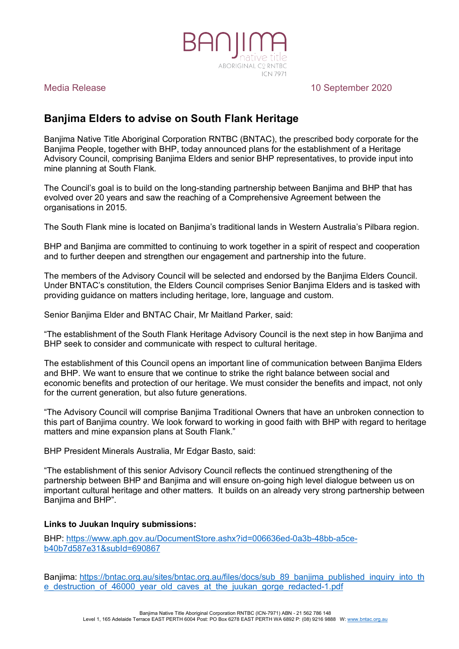

Media Release 10 September 2020

## **Banjima Elders to advise on South Flank Heritage**

Banjima Native Title Aboriginal Corporation RNTBC (BNTAC), the prescribed body corporate for the Banjima People, together with BHP, today announced plans for the establishment of a Heritage Advisory Council, comprising Banjima Elders and senior BHP representatives, to provide input into mine planning at South Flank.

The Council's goal is to build on the long-standing partnership between Banjima and BHP that has evolved over 20 years and saw the reaching of a Comprehensive Agreement between the organisations in 2015.

The South Flank mine is located on Banjima's traditional lands in Western Australia's Pilbara region.

BHP and Banjima are committed to continuing to work together in a spirit of respect and cooperation and to further deepen and strengthen our engagement and partnership into the future.

The members of the Advisory Council will be selected and endorsed by the Banjima Elders Council. Under BNTAC's constitution, the Elders Council comprises Senior Banjima Elders and is tasked with providing guidance on matters including heritage, lore, language and custom.

Senior Banjima Elder and BNTAC Chair, Mr Maitland Parker, said:

"The establishment of the South Flank Heritage Advisory Council is the next step in how Banjima and BHP seek to consider and communicate with respect to cultural heritage.

The establishment of this Council opens an important line of communication between Banjima Elders and BHP. We want to ensure that we continue to strike the right balance between social and economic benefits and protection of our heritage. We must consider the benefits and impact, not only for the current generation, but also future generations.

"The Advisory Council will comprise Banjima Traditional Owners that have an unbroken connection to this part of Banjima country. We look forward to working in good faith with BHP with regard to heritage matters and mine expansion plans at South Flank."

BHP President Minerals Australia, Mr Edgar Basto, said:

"The establishment of this senior Advisory Council reflects the continued strengthening of the partnership between BHP and Banjima and will ensure on-going high level dialogue between us on important cultural heritage and other matters. It builds on an already very strong partnership between Banjima and BHP".

## **Links to Juukan Inquiry submissions:**

BHP: https://www.aph.gov.au/DocumentStore.ashx?id=006636ed-0a3b-48bb-a5ceb40b7d587e31&subId=690867

Banjima: https://bntac.org.au/sites/bntac.org.au/files/docs/sub\_89\_banjima\_published\_inquiry\_into\_th e\_destruction\_of\_46000\_year\_old\_caves\_at\_the\_juukan\_gorge\_redacted-1.pdf